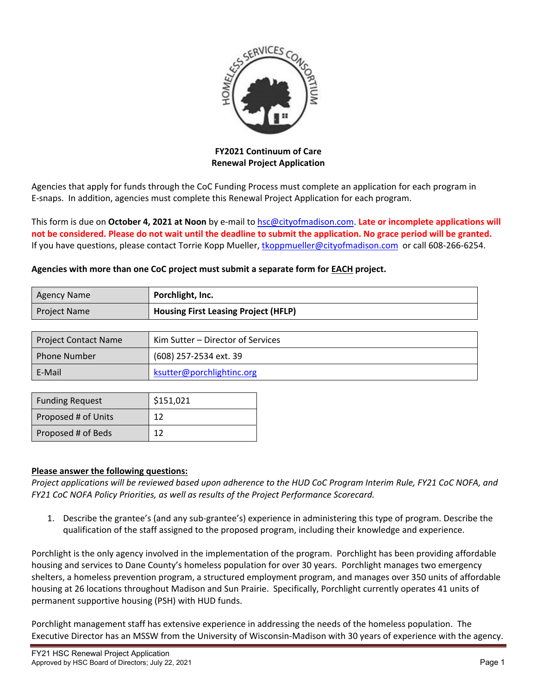

**FY2021 Continuum of Care Renewal Project Application**

Agencies that apply for funds through the CoC Funding Process must complete an application for each program in E‐snaps. In addition, agencies must complete this Renewal Project Application for each program.

This form is due on **October 4, 2021 at Noon** by e‐mail to hsc@cityofmadison.com. **Late or incomplete applications will** not be considered. Please do not wait until the deadline to submit the application. No grace period will be granted. If you have questions, please contact Torrie Kopp Mueller, tkoppmueller@cityofmadison.com or call 608-266-6254.

## **Agencies with more than one CoC project must submit a separate form for EACH project.**

| <b>Agency Name</b>          | Porchlight, Inc.                            |  |  |
|-----------------------------|---------------------------------------------|--|--|
| <b>Project Name</b>         | <b>Housing First Leasing Project (HFLP)</b> |  |  |
|                             |                                             |  |  |
| <b>Project Contact Name</b> | Kim Sutter – Director of Services           |  |  |
| <b>Phone Number</b>         | (608) 257-2534 ext. 39                      |  |  |

| E-Mail                 | ksutter@porchlightinc.org |  |
|------------------------|---------------------------|--|
|                        |                           |  |
| <b>Funding Request</b> | \$151,021                 |  |
| Proposed # of Units    | 12                        |  |
| Proposed # of Beds     |                           |  |

## **Please answer the following questions:**

Project applications will be reviewed based upon adherence to the HUD CoC Program Interim Rule, FY21 CoC NOFA, and *FY21 CoC NOFA Policy Priorities, as well as results of the Project Performance Scorecard.*

1. Describe the grantee's (and any sub‐grantee's) experience in administering this type of program. Describe the qualification of the staff assigned to the proposed program, including their knowledge and experience.

Porchlight is the only agency involved in the implementation of the program. Porchlight has been providing affordable housing and services to Dane County's homeless population for over 30 years. Porchlight manages two emergency shelters, a homeless prevention program, a structured employment program, and manages over 350 units of affordable housing at 26 locations throughout Madison and Sun Prairie. Specifically, Porchlight currently operates 41 units of permanent supportive housing (PSH) with HUD funds.

Porchlight management staff has extensive experience in addressing the needs of the homeless population. The Executive Director has an MSSW from the University of Wisconsin‐Madison with 30 years of experience with the agency.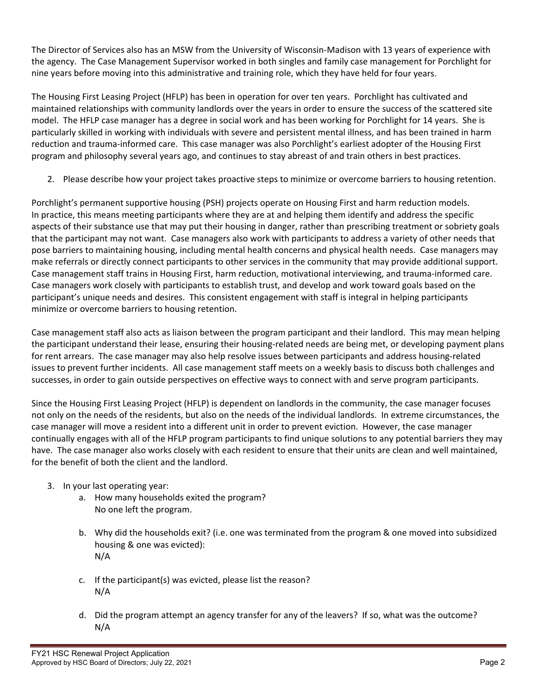The Director of Services also has an MSW from the University of Wisconsin‐Madison with 13 years of experience with the agency. The Case Management Supervisor worked in both singles and family case management for Porchlight for nine years before moving into this administrative and training role, which they have held for four years.

The Housing First Leasing Project (HFLP) has been in operation for over ten years. Porchlight has cultivated and maintained relationships with community landlords over the years in order to ensure the success of the scattered site model. The HFLP case manager has a degree in social work and has been working for Porchlight for 14 years. She is particularly skilled in working with individuals with severe and persistent mental illness, and has been trained in harm reduction and trauma‐informed care. This case manager was also Porchlight's earliest adopter of the Housing First program and philosophy several years ago, and continues to stay abreast of and train others in best practices.

2. Please describe how your project takes proactive steps to minimize or overcome barriers to housing retention.

Porchlight's permanent supportive housing (PSH) projects operate on Housing First and harm reduction models. In practice, this means meeting participants where they are at and helping them identify and address the specific aspects of their substance use that may put their housing in danger, rather than prescribing treatment or sobriety goals that the participant may not want. Case managers also work with participants to address a variety of other needs that pose barriers to maintaining housing, including mental health concerns and physical health needs. Case managers may make referrals or directly connect participants to other services in the community that may provide additional support. Case management staff trains in Housing First, harm reduction, motivational interviewing, and trauma‐informed care. Case managers work closely with participants to establish trust, and develop and work toward goals based on the participant's unique needs and desires. This consistent engagement with staff is integral in helping participants minimize or overcome barriers to housing retention.

Case management staff also acts as liaison between the program participant and their landlord. This may mean helping the participant understand their lease, ensuring their housing‐related needs are being met, or developing payment plans for rent arrears. The case manager may also help resolve issues between participants and address housing-related issues to prevent further incidents. All case management staff meets on a weekly basis to discuss both challenges and successes, in order to gain outside perspectives on effective ways to connect with and serve program participants.

Since the Housing First Leasing Project (HFLP) is dependent on landlords in the community, the case manager focuses not only on the needs of the residents, but also on the needs of the individual landlords. In extreme circumstances, the case manager will move a resident into a different unit in order to prevent eviction. However, the case manager continually engages with all of the HFLP program participants to find unique solutions to any potential barriers they may have. The case manager also works closely with each resident to ensure that their units are clean and well maintained, for the benefit of both the client and the landlord.

- 3. In your last operating year:
	- a. How many households exited the program? No one left the program.
	- b. Why did the households exit? (i.e. one was terminated from the program & one moved into subsidized housing & one was evicted): N/A
	- c. If the participant(s) was evicted, please list the reason? N/A
	- d. Did the program attempt an agency transfer for any of the leavers? If so, what was the outcome? N/A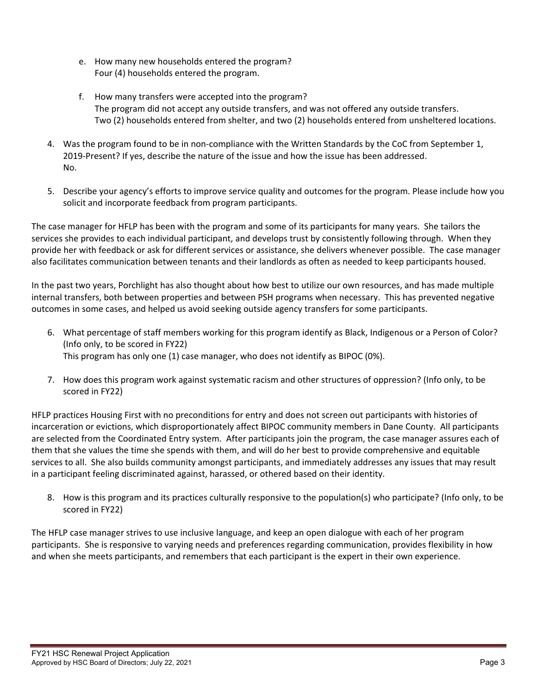- e. How many new households entered the program? Four (4) households entered the program.
- f. How many transfers were accepted into the program? The program did not accept any outside transfers, and was not offered any outside transfers. Two (2) households entered from shelter, and two (2) households entered from unsheltered locations.
- 4. Was the program found to be in non-compliance with the Written Standards by the CoC from September 1, 2019-Present? If yes, describe the nature of the issue and how the issue has been addressed. No.
- 5. Describe your agency's efforts to improve service quality and outcomes for the program. Please include how you solicit and incorporate feedback from program participants.

The case manager for HFLP has been with the program and some of its participants for many years. She tailors the services she provides to each individual participant, and develops trust by consistently following through. When they provide her with feedback or ask for different services or assistance, she delivers whenever possible. The case manager also facilitates communication between tenants and their landlords as often as needed to keep participants housed.

In the past two years, Porchlight has also thought about how best to utilize our own resources, and has made multiple internal transfers, both between properties and between PSH programs when necessary. This has prevented negative outcomes in some cases, and helped us avoid seeking outside agency transfers for some participants.

- 6. What percentage of staff members working for this program identify as Black, Indigenous or a Person of Color? (Info only, to be scored in FY22) This program has only one (1) case manager, who does not identify as BIPOC (0%).
- 7. How does this program work against systematic racism and other structures of oppression? (Info only, to be scored in FY22)

HFLP practices Housing First with no preconditions for entry and does not screen out participants with histories of incarceration or evictions, which disproportionately affect BIPOC community members in Dane County. All participants are selected from the Coordinated Entry system. After participants join the program, the case manager assures each of them that she values the time she spends with them, and will do her best to provide comprehensive and equitable services to all. She also builds community amongst participants, and immediately addresses any issues that may result in a participant feeling discriminated against, harassed, or othered based on their identity.

8. How is this program and its practices culturally responsive to the population(s) who participate? (Info only, to be scored in FY22)

The HFLP case manager strives to use inclusive language, and keep an open dialogue with each of her program participants. She is responsive to varying needs and preferences regarding communication, provides flexibility in how and when she meets participants, and remembers that each participant is the expert in their own experience.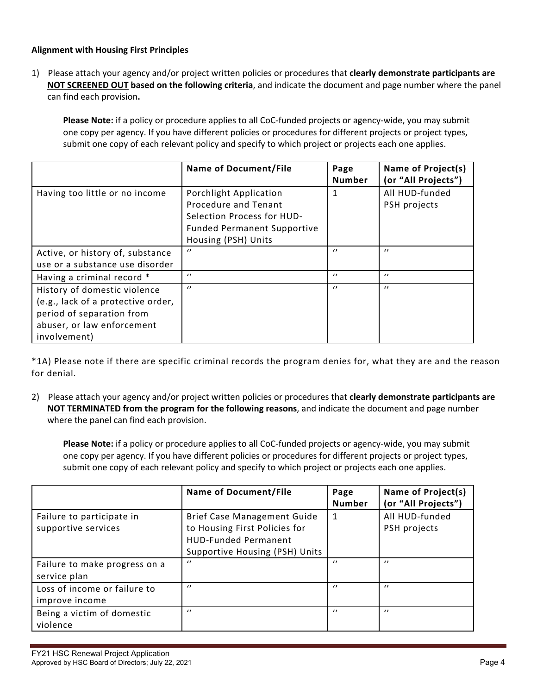## **Alignment with Housing First Principles**

1) Please attach your agency and/or project written policies or procedures that **clearly demonstrate participants are NOT SCREENED OUT based on the following criteria**, and indicate the document and page number where the panel can find each provision**.** 

**Please Note:** if a policy or procedure applies to all CoC-funded projects or agency-wide, you may submit one copy per agency. If you have different policies or procedures for different projects or project types, submit one copy of each relevant policy and specify to which project or projects each one applies.

|                                                                                                                                               | <b>Name of Document/File</b>                                                                                                              | Page<br><b>Number</b> | Name of Project(s)<br>(or "All Projects") |
|-----------------------------------------------------------------------------------------------------------------------------------------------|-------------------------------------------------------------------------------------------------------------------------------------------|-----------------------|-------------------------------------------|
| Having too little or no income                                                                                                                | Porchlight Application<br>Procedure and Tenant<br>Selection Process for HUD-<br><b>Funded Permanent Supportive</b><br>Housing (PSH) Units |                       | All HUD-funded<br>PSH projects            |
| Active, or history of, substance<br>use or a substance use disorder                                                                           | $\prime$                                                                                                                                  | $\prime$              | $\prime$                                  |
| Having a criminal record *                                                                                                                    | $\prime$                                                                                                                                  | $^{\prime}$           | $\prime$                                  |
| History of domestic violence<br>(e.g., lack of a protective order,<br>period of separation from<br>abuser, or law enforcement<br>involvement) | $\prime$                                                                                                                                  | $\prime$              | $\prime\prime$                            |

\*1A) Please note if there are specific criminal records the program denies for, what they are and the reason for denial.

2) Please attach your agency and/or project written policies or procedures that **clearly demonstrate participants are NOT TERMINATED from the program for the following reasons**, and indicate the document and page number where the panel can find each provision.

**Please Note:** if a policy or procedure applies to all CoC-funded projects or agency-wide, you may submit one copy per agency. If you have different policies or procedures for different projects or project types, submit one copy of each relevant policy and specify to which project or projects each one applies.

|                                                  | <b>Name of Document/File</b>                                                                                                  | Page<br><b>Number</b> | Name of Project(s)<br>(or "All Projects") |
|--------------------------------------------------|-------------------------------------------------------------------------------------------------------------------------------|-----------------------|-------------------------------------------|
| Failure to participate in<br>supportive services | Brief Case Management Guide<br>to Housing First Policies for<br><b>HUD-Funded Permanent</b><br>Supportive Housing (PSH) Units | $\mathbf{1}$          | All HUD-funded<br>PSH projects            |
| Failure to make progress on a<br>service plan    | $\prime$                                                                                                                      | $\prime$              | $\prime\prime$                            |
| Loss of income or failure to<br>improve income   | $\prime$                                                                                                                      | $\prime$              | $\prime$                                  |
| Being a victim of domestic<br>violence           | $\prime$                                                                                                                      | $\prime$              | $\prime$                                  |